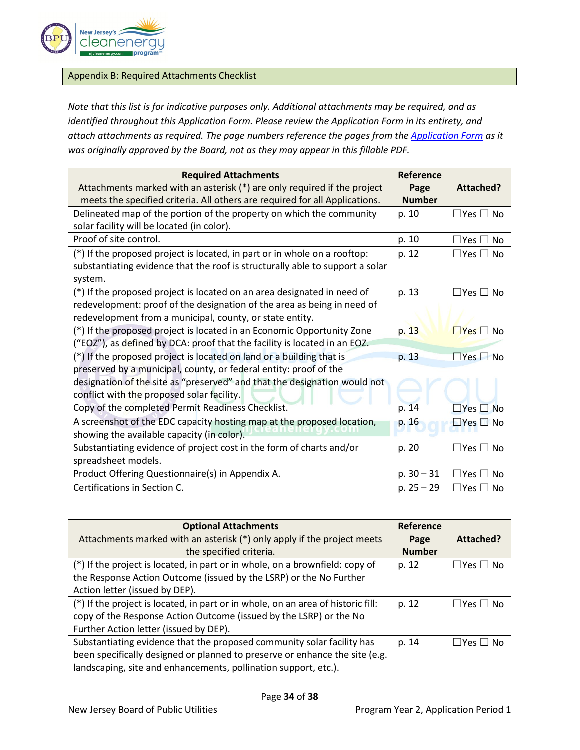

## Appendix B: Required Attachments Checklist

*Note that this list is for indicative purposes only. Additional attachments may be required, and as identified throughout this Application Form. Please review the Application Form in its entirety, and attach attachments as required. The page numbers reference the pages from the [Application Form](https://www.njcleanenergy.com/files/file/CommunitySolar/8C%20-%20ORDER%20Community%20Solar%20Year%202%20Application%20Form%20and%20Process%202020-10-01.pdf) as it was originally approved by the Board, not as they may appear in this fillable PDF.*

| <b>Required Attachments</b>                                                   | Reference     |                            |
|-------------------------------------------------------------------------------|---------------|----------------------------|
| Attachments marked with an asterisk (*) are only required if the project      | Page          | Attached?                  |
| meets the specified criteria. All others are required for all Applications.   | <b>Number</b> |                            |
| Delineated map of the portion of the property on which the community          | p. 10         | $\Box$ Yes $\Box$ No       |
| solar facility will be located (in color).                                    |               |                            |
| Proof of site control.                                                        | p. 10         | $\square$ Yes $\square$ No |
| (*) If the proposed project is located, in part or in whole on a rooftop:     | p. 12         | $\Box$ Yes $\Box$ No       |
| substantiating evidence that the roof is structurally able to support a solar |               |                            |
| system.                                                                       |               |                            |
| (*) If the proposed project is located on an area designated in need of       | p. 13         | $\Box$ Yes $\Box$ No       |
| redevelopment: proof of the designation of the area as being in need of       |               |                            |
| redevelopment from a municipal, county, or state entity.                      |               |                            |
| (*) If the proposed project is located in an Economic Opportunity Zone        | p. 13         | $\Box$ Yes $\Box$ No       |
| ("EOZ"), as defined by DCA: proof that the facility is located in an EOZ.     |               |                            |
| (*) If the proposed project is located on land or a building that is          | p. 13         | $\Box$ Yes $\Box$ No       |
| preserved by a municipal, county, or federal entity: proof of the             |               |                            |
| designation of the site as "preserved" and that the designation would not     |               |                            |
| conflict with the proposed solar facility.                                    |               |                            |
| Copy of the completed Permit Readiness Checklist.                             | p. 14         | $\Box$ Yes $\Box$ No       |
| A screenshot of the EDC capacity hosting map at the proposed location,        | p. 16         | $\Box$ Yes $\Box$ No       |
| showing the available capacity (in color).                                    |               |                            |
| Substantiating evidence of project cost in the form of charts and/or          | p. 20         | $\Box$ Yes $\Box$ No       |
| spreadsheet models.                                                           |               |                            |
| Product Offering Questionnaire(s) in Appendix A.                              | $p. 30 - 31$  | $\Box$ Yes $\Box$ No       |
| Certifications in Section C.                                                  | $p. 25 - 29$  | $\square$ Yes $\square$ No |

| <b>Optional Attachments</b>                                                      | Reference     |                      |
|----------------------------------------------------------------------------------|---------------|----------------------|
| Attachments marked with an asterisk (*) only apply if the project meets          | Page          | Attached?            |
| the specified criteria.                                                          | <b>Number</b> |                      |
| (*) If the project is located, in part or in whole, on a brownfield: copy of     | p. 12         | $\Box$ Yes $\Box$ No |
| the Response Action Outcome (issued by the LSRP) or the No Further               |               |                      |
| Action letter (issued by DEP).                                                   |               |                      |
| (*) If the project is located, in part or in whole, on an area of historic fill: | p. 12         | $\Box$ Yes $\Box$ No |
| copy of the Response Action Outcome (issued by the LSRP) or the No               |               |                      |
| Further Action letter (issued by DEP).                                           |               |                      |
| Substantiating evidence that the proposed community solar facility has           | p. 14         | $\Box$ Yes $\Box$ No |
| been specifically designed or planned to preserve or enhance the site (e.g.      |               |                      |
| landscaping, site and enhancements, pollination support, etc.).                  |               |                      |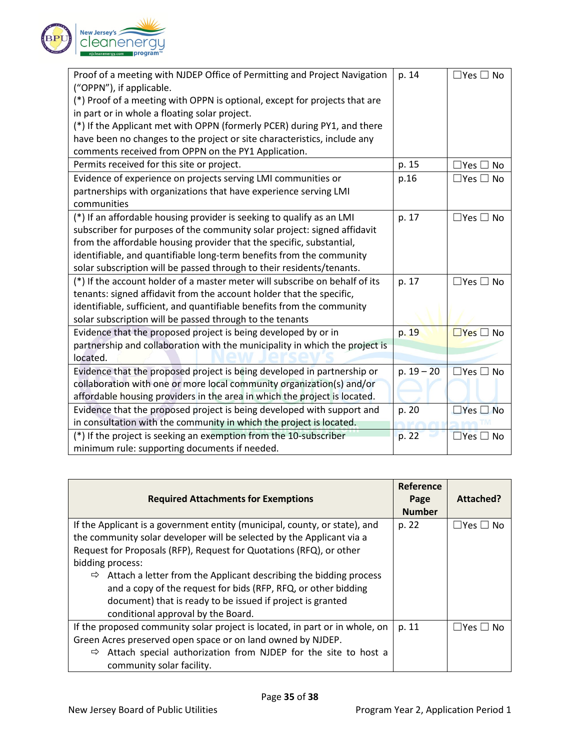

| Proof of a meeting with NJDEP Office of Permitting and Project Navigation                              | p. 14        | $\Box$ Yes $\Box$ No       |
|--------------------------------------------------------------------------------------------------------|--------------|----------------------------|
| ("OPPN"), if applicable.<br>(*) Proof of a meeting with OPPN is optional, except for projects that are |              |                            |
| in part or in whole a floating solar project.                                                          |              |                            |
| (*) If the Applicant met with OPPN (formerly PCER) during PY1, and there                               |              |                            |
| have been no changes to the project or site characteristics, include any                               |              |                            |
| comments received from OPPN on the PY1 Application.                                                    |              |                            |
| Permits received for this site or project.                                                             | p. 15        | $\Box$ Yes $\Box$ No       |
| Evidence of experience on projects serving LMI communities or                                          | p.16         | $\Box$ Yes $\Box$ No       |
| partnerships with organizations that have experience serving LMI                                       |              |                            |
| communities                                                                                            |              |                            |
| (*) If an affordable housing provider is seeking to qualify as an LMI                                  | p. 17        | $\Box$ Yes $\Box$ No       |
| subscriber for purposes of the community solar project: signed affidavit                               |              |                            |
| from the affordable housing provider that the specific, substantial,                                   |              |                            |
| identifiable, and quantifiable long-term benefits from the community                                   |              |                            |
| solar subscription will be passed through to their residents/tenants.                                  |              |                            |
| (*) If the account holder of a master meter will subscribe on behalf of its                            | p. 17        | $\Box$ Yes $\Box$ No       |
| tenants: signed affidavit from the account holder that the specific,                                   |              |                            |
| identifiable, sufficient, and quantifiable benefits from the community                                 |              |                            |
| solar subscription will be passed through to the tenants                                               |              |                            |
| Evidence that the proposed project is being developed by or in                                         | p. 19        | $\Box$ Yes $\Box$ No       |
| partnership and collaboration with the municipality in which the project is                            |              |                            |
| located.                                                                                               |              |                            |
| Evidence that the proposed project is being developed in partnership or                                | $p. 19 - 20$ | $\Box$ Yes $\Box$ No       |
| collaboration with one or more local community organization(s) and/or                                  |              |                            |
| affordable housing providers in the area in which the project is located.                              |              |                            |
| Evidence that the proposed project is being developed with support and                                 | p. 20        | $\square$ Yes $\square$ No |
| in consultation with the community in which the project is located.                                    |              |                            |
| (*) If the project is seeking an exemption from the 10-subscriber                                      | p. 22        | $\Box$ Yes $\Box$ No       |
| minimum rule: supporting documents if needed.                                                          |              |                            |

| <b>Required Attachments for Exemptions</b>                                                                                                                                                                                                                                                                                                                                                                                                               | Reference<br>Page<br><b>Number</b> | Attached?            |
|----------------------------------------------------------------------------------------------------------------------------------------------------------------------------------------------------------------------------------------------------------------------------------------------------------------------------------------------------------------------------------------------------------------------------------------------------------|------------------------------------|----------------------|
| If the Applicant is a government entity (municipal, county, or state), and<br>the community solar developer will be selected by the Applicant via a<br>Request for Proposals (RFP), Request for Quotations (RFQ), or other<br>bidding process:<br>Attach a letter from the Applicant describing the bidding process<br>⇨<br>and a copy of the request for bids (RFP, RFQ, or other bidding<br>document) that is ready to be issued if project is granted | p. 22                              | $\Box$ Yes $\Box$ No |
| conditional approval by the Board.<br>If the proposed community solar project is located, in part or in whole, on<br>Green Acres preserved open space or on land owned by NJDEP.<br>Attach special authorization from NJDEP for the site to host a<br>⇨<br>community solar facility.                                                                                                                                                                     | p. 11                              | $\Box$ Yes $\Box$ No |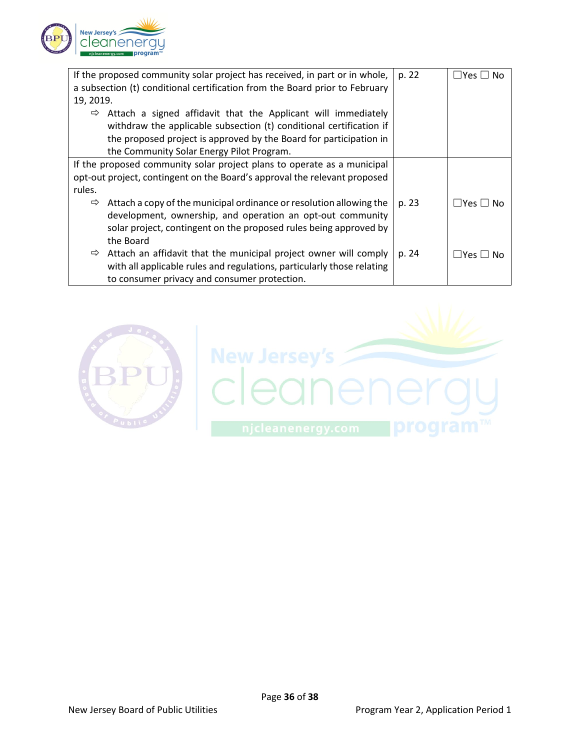

| If the proposed community solar project has received, in part or in whole,        | p. 22 | ⊥Yes 凵 No                  |
|-----------------------------------------------------------------------------------|-------|----------------------------|
| a subsection (t) conditional certification from the Board prior to February       |       |                            |
| 19, 2019.                                                                         |       |                            |
| Attach a signed affidavit that the Applicant will immediately<br>⇨                |       |                            |
| withdraw the applicable subsection (t) conditional certification if               |       |                            |
| the proposed project is approved by the Board for participation in                |       |                            |
| the Community Solar Energy Pilot Program.                                         |       |                            |
| If the proposed community solar project plans to operate as a municipal           |       |                            |
| opt-out project, contingent on the Board's approval the relevant proposed         |       |                            |
| rules.                                                                            |       |                            |
| Attach a copy of the municipal ordinance or resolution allowing the<br>⇨          | p. 23 | $\square$ Yes $\square$ No |
| development, ownership, and operation an opt-out community                        |       |                            |
| solar project, contingent on the proposed rules being approved by                 |       |                            |
| the Board                                                                         |       |                            |
| Attach an affidavit that the municipal project owner will comply<br>$\Rightarrow$ | p. 24 | $\Box$ Yes $\Box$ No       |
| with all applicable rules and regulations, particularly those relating            |       |                            |
| to consumer privacy and consumer protection.                                      |       |                            |

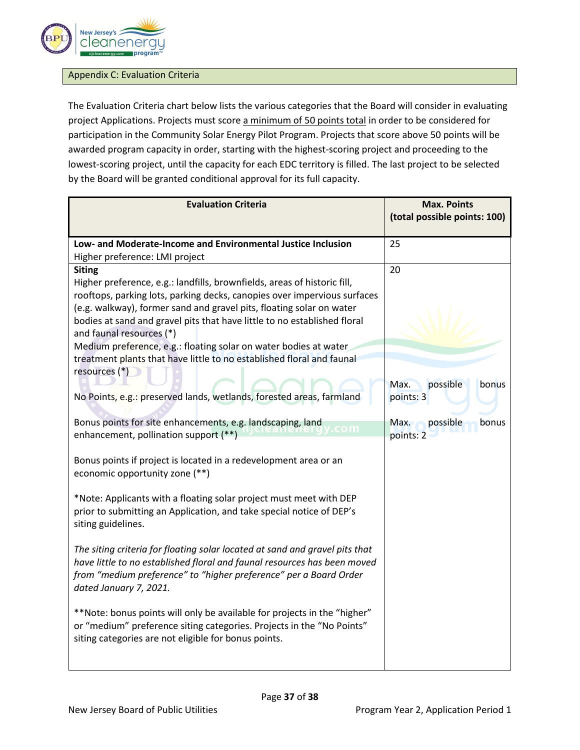

## Appendix C: Evaluation Criteria

The Evaluation Criteria chart below lists the various categories that the Board will consider in evaluating project Applications. Projects must score a minimum of 50 points total in order to be considered for participation in the Community Solar Energy Pilot Program. Projects that score above 50 points will be awarded program capacity in order, starting with the highest-scoring project and proceeding to the lowest-scoring project, until the capacity for each EDC territory is filled. The last project to be selected by the Board will be granted conditional approval for its full capacity.

| <b>Evaluation Criteria</b>                                                                                                                       | <b>Max. Points</b>           |
|--------------------------------------------------------------------------------------------------------------------------------------------------|------------------------------|
|                                                                                                                                                  | (total possible points: 100) |
| Low- and Moderate-Income and Environmental Justice Inclusion                                                                                     | 25                           |
| Higher preference: LMI project                                                                                                                   |                              |
| <b>Siting</b>                                                                                                                                    | 20                           |
| Higher preference, e.g.: landfills, brownfields, areas of historic fill,                                                                         |                              |
| rooftops, parking lots, parking decks, canopies over impervious surfaces<br>(e.g. walkway), former sand and gravel pits, floating solar on water |                              |
| bodies at sand and gravel pits that have little to no established floral                                                                         |                              |
| and faunal resources (*)                                                                                                                         |                              |
| Medium preference, e.g.: floating solar on water bodies at water                                                                                 |                              |
| treatment plants that have little to no established floral and faunal                                                                            |                              |
| resources (*)                                                                                                                                    | possible<br>bonus<br>Max.    |
| No Points, e.g.: preserved lands, wetlands, forested areas, farmland                                                                             | points: 3                    |
|                                                                                                                                                  |                              |
| Bonus points for site enhancements, e.g. landscaping, land                                                                                       | possible<br>Max.<br>bonus    |
| enhancement, pollination support (**)                                                                                                            | points: 2                    |
| Bonus points if project is located in a redevelopment area or an                                                                                 |                              |
| economic opportunity zone (**)                                                                                                                   |                              |
|                                                                                                                                                  |                              |
| *Note: Applicants with a floating solar project must meet with DEP                                                                               |                              |
| prior to submitting an Application, and take special notice of DEP's<br>siting guidelines.                                                       |                              |
|                                                                                                                                                  |                              |
| The siting criteria for floating solar located at sand and gravel pits that                                                                      |                              |
| have little to no established floral and faunal resources has been moved                                                                         |                              |
| from "medium preference" to "higher preference" per a Board Order<br>dated January 7, 2021.                                                      |                              |
|                                                                                                                                                  |                              |
| **Note: bonus points will only be available for projects in the "higher"                                                                         |                              |
| or "medium" preference siting categories. Projects in the "No Points"                                                                            |                              |
| siting categories are not eligible for bonus points.                                                                                             |                              |
|                                                                                                                                                  |                              |